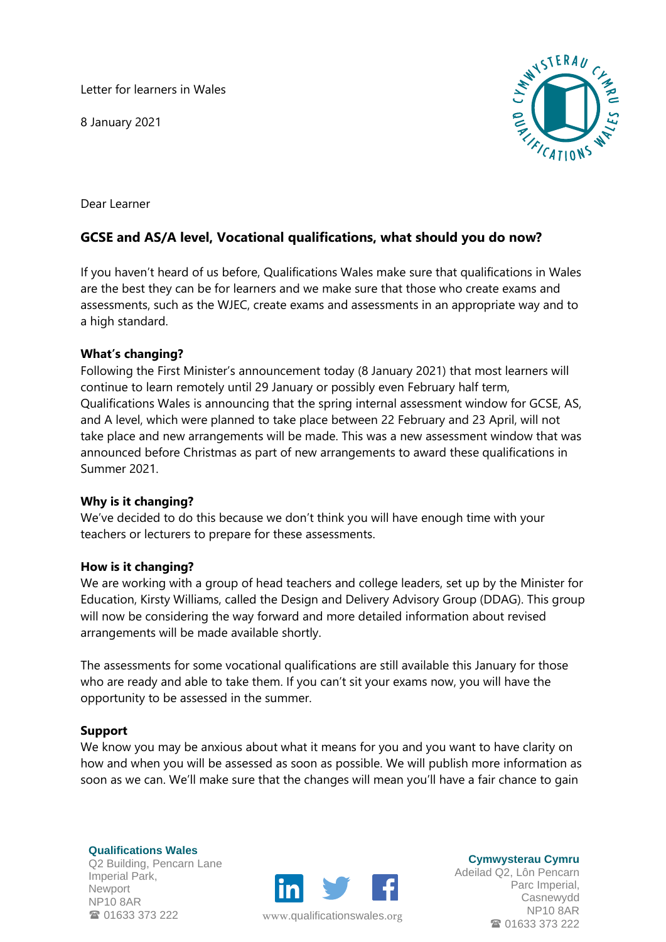Letter for learners in Wales

8 January 2021



Dear Learner

# **GCSE and AS/A level, Vocational qualifications, what should you do now?**

If you haven't heard of us before, Qualifications Wales make sure that qualifications in Wales are the best they can be for learners and we make sure that those who create exams and assessments, such as the WJEC, create exams and assessments in an appropriate way and to a high standard.

## **What's changing?**

Following the First Minister's announcement today (8 January 2021) that most learners will continue to learn remotely until 29 January or possibly even February half term, Qualifications Wales is announcing that the spring internal assessment window for GCSE, AS, and A level, which were planned to take place between 22 February and 23 April, will not take place and new arrangements will be made. This was a new assessment window that was announced before Christmas as part of new arrangements to award these qualifications in Summer 2021.

### **Why is it changing?**

We've decided to do this because we don't think you will have enough time with your teachers or lecturers to prepare for these assessments.

### **How is it changing?**

We are working with a group of head teachers and college leaders, set up by the Minister for Education, Kirsty Williams, called the Design and Delivery Advisory Group (DDAG). This group will now be considering the way forward and more detailed information about revised arrangements will be made available shortly.

The assessments for some vocational qualifications are still available this January for those who are ready and able to take them. If you can't sit your exams now, you will have the opportunity to be assessed in the summer.

### **Support**

We know you may be anxious about what it means for you and you want to have clarity on how and when you will be assessed as soon as possible. We will publish more information as soon as we can. We'll make sure that the changes will mean you'll have a fair chance to gain

**Qualifications Wales** Q2 Building, Pencarn Lane Imperial Park, Newport NP10 8AR <sup>3</sup> 01633 373 222



www.[qualificationswales](http://qualificationswales.org/Splash).org

**Cymwysterau Cymru**

Adeilad Q2, Lôn Pencarn Parc Imperial, Casnewydd NP10 8AR ■ 01633 373 222